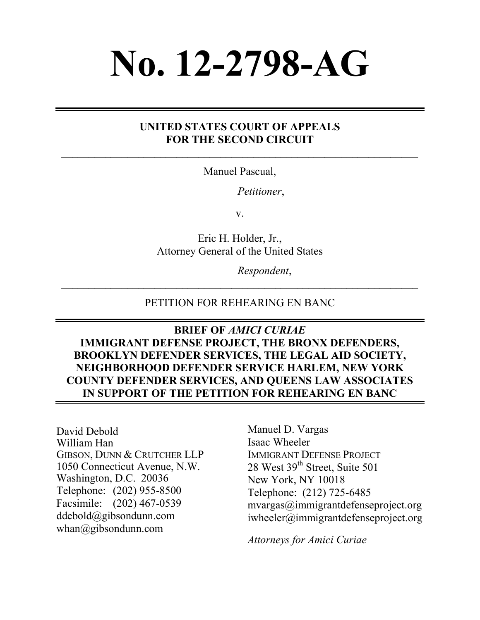# **No. 12-2798-AG**

## **UNITED STATES COURT OF APPEALS FOR THE SECOND CIRCUIT**

Manuel Pascual,

*Petitioner*,

v.

Eric H. Holder, Jr., Attorney General of the United States

*Respondent*,

#### PETITION FOR REHEARING EN BANC

**BRIEF OF** *AMICI CURIAE* **IMMIGRANT DEFENSE PROJECT, THE BRONX DEFENDERS, BROOKLYN DEFENDER SERVICES, THE LEGAL AID SOCIETY, NEIGHBORHOOD DEFENDER SERVICE HARLEM, NEW YORK COUNTY DEFENDER SERVICES, AND QUEENS LAW ASSOCIATES IN SUPPORT OF THE PETITION FOR REHEARING EN BANC**

David Debold William Han GIBSON, DUNN & CRUTCHER LLP 1050 Connecticut Avenue, N.W. Washington, D.C. 20036 Telephone: (202) 955-8500 Facsimile: (202) 467-0539 ddebold@gibsondunn.com whan@gibsondunn.com

Manuel D. Vargas Isaac Wheeler IMMIGRANT DEFENSE PROJECT 28 West 39<sup>th</sup> Street, Suite 501 New York, NY 10018 Telephone: (212) 725-6485 mvargas@immigrantdefenseproject.org iwheeler@immigrantdefenseproject.org

*Attorneys for Amici Curiae*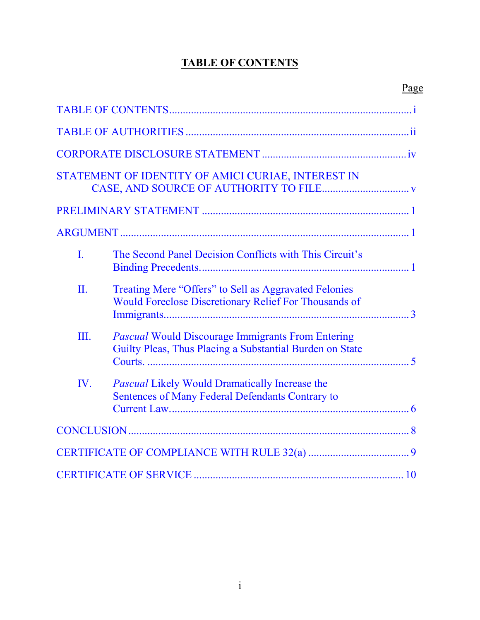# **TABLE OF CONTENTS**

<span id="page-1-0"></span>

|     | STATEMENT OF IDENTITY OF AMICI CURIAE, INTEREST IN                                                                    |  |
|-----|-----------------------------------------------------------------------------------------------------------------------|--|
|     |                                                                                                                       |  |
|     |                                                                                                                       |  |
| L   | The Second Panel Decision Conflicts with This Circuit's                                                               |  |
| II. | Treating Mere "Offers" to Sell as Aggravated Felonies<br><b>Would Foreclose Discretionary Relief For Thousands of</b> |  |
| Ш.  | <b>Pascual Would Discourage Immigrants From Entering</b><br>Guilty Pleas, Thus Placing a Substantial Burden on State  |  |
| IV. | <b>Pascual Likely Would Dramatically Increase the</b><br>Sentences of Many Federal Defendants Contrary to             |  |
|     |                                                                                                                       |  |
|     |                                                                                                                       |  |
|     |                                                                                                                       |  |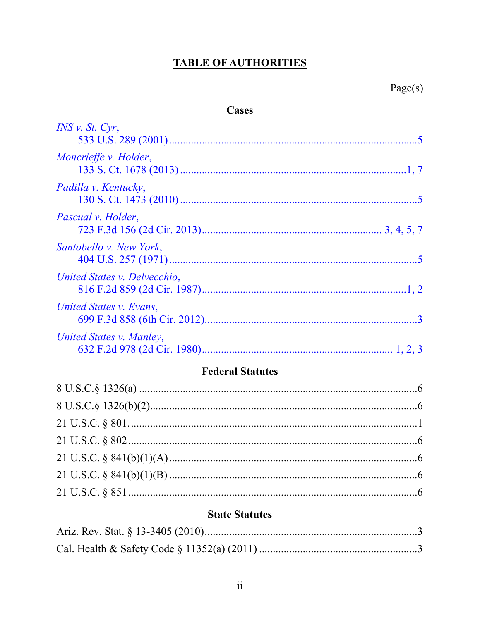# **TABLE OF AUTHORITIES**

## **Cases**

<span id="page-2-0"></span>

| INS v. St. Cyr,              |  |
|------------------------------|--|
| Moncrieffe v. Holder,        |  |
| Padilla v. Kentucky,         |  |
| Pascual v. Holder,           |  |
| Santobello v. New York,      |  |
| United States v. Delvecchio, |  |
| United States v. Evans,      |  |
| United States v. Manley,     |  |

## **Federal Statutes**

## **State Statutes**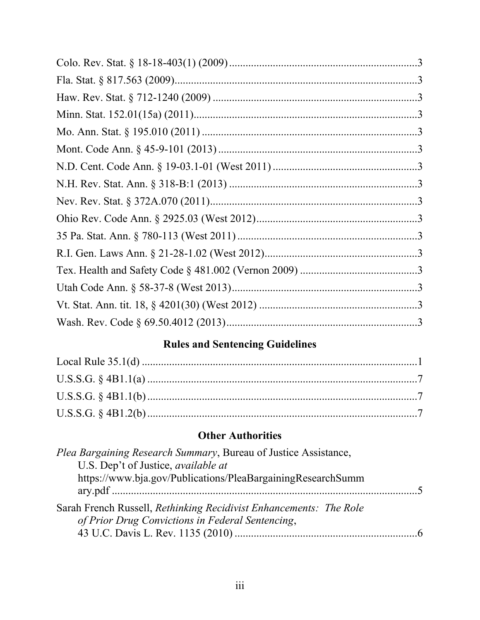# **Rules and Sentencing Guidelines**

## **Other Authorities**

| <i>Plea Bargaining Research Summary</i> , Bureau of Justice Assistance, |  |
|-------------------------------------------------------------------------|--|
| U.S. Dep't of Justice, <i>available at</i>                              |  |
| https://www.bja.gov/Publications/PleaBargainingResearchSumm             |  |
|                                                                         |  |
| Sarah French Russell, Rethinking Recidivist Enhancements: The Role      |  |
| of Prior Drug Convictions in Federal Sentencing,                        |  |
|                                                                         |  |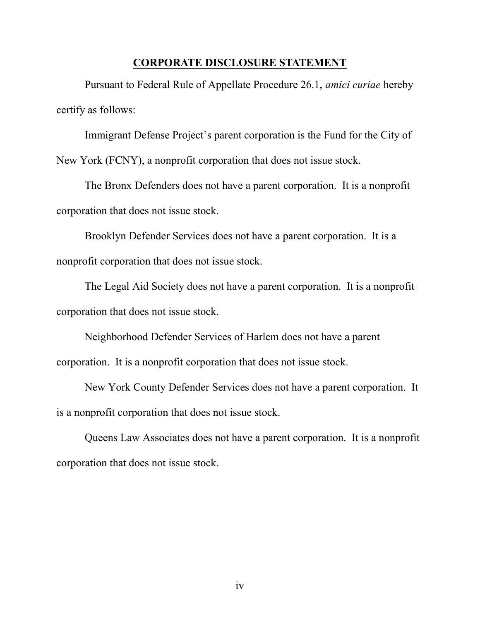#### **CORPORATE DISCLOSURE STATEMENT**

<span id="page-4-0"></span>Pursuant to Federal Rule of Appellate Procedure 26.1, *amici curiae* hereby certify as follows:

Immigrant Defense Project's parent corporation is the Fund for the City of New York (FCNY), a nonprofit corporation that does not issue stock.

The Bronx Defenders does not have a parent corporation. It is a nonprofit corporation that does not issue stock.

Brooklyn Defender Services does not have a parent corporation. It is a nonprofit corporation that does not issue stock.

The Legal Aid Society does not have a parent corporation. It is a nonprofit corporation that does not issue stock.

Neighborhood Defender Services of Harlem does not have a parent corporation. It is a nonprofit corporation that does not issue stock.

New York County Defender Services does not have a parent corporation. It is a nonprofit corporation that does not issue stock.

Queens Law Associates does not have a parent corporation. It is a nonprofit corporation that does not issue stock.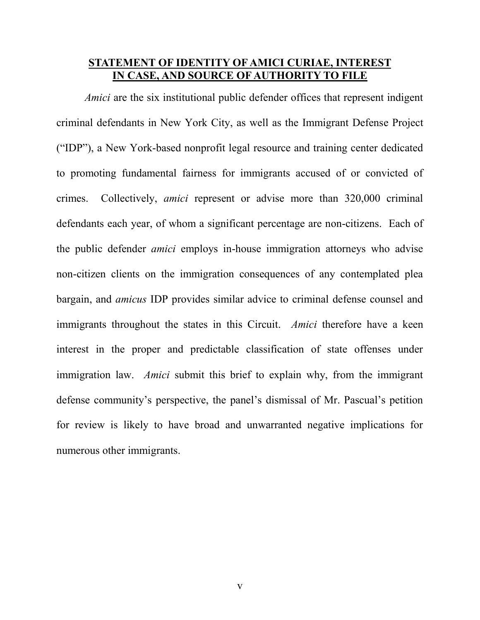#### <span id="page-5-0"></span>**STATEMENT OF IDENTITY OF AMICI CURIAE, INTEREST IN CASE, AND SOURCE OF AUTHORITY TO FILE**

*Amici* are the six institutional public defender offices that represent indigent criminal defendants in New York City, as well as the Immigrant Defense Project ("IDP"), a New York-based nonprofit legal resource and training center dedicated to promoting fundamental fairness for immigrants accused of or convicted of crimes. Collectively, *amici* represent or advise more than 320,000 criminal defendants each year, of whom a significant percentage are non-citizens. Each of the public defender *amici* employs in-house immigration attorneys who advise non-citizen clients on the immigration consequences of any contemplated plea bargain, and *amicus* IDP provides similar advice to criminal defense counsel and immigrants throughout the states in this Circuit. *Amici* therefore have a keen interest in the proper and predictable classification of state offenses under immigration law. *Amici* submit this brief to explain why, from the immigrant defense community's perspective, the panel's dismissal of Mr. Pascual's petition for review is likely to have broad and unwarranted negative implications for numerous other immigrants.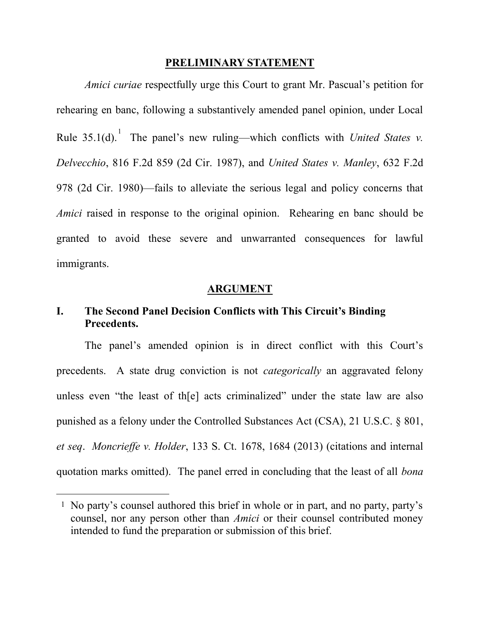#### **PRELIMINARY STATEMENT**

<span id="page-6-0"></span>*Amici curiae* respectfully urge this Court to grant Mr. Pascual's petition for rehearing en banc, following a substantively amended panel opinion, under Local Rule 35.1(d). The panel's new ruling—which conflicts with *United States v. Delvecchio*, 816 F.2d 859 (2d Cir. 1987), and *United States v. Manley*, 632 F.2d 978 (2d Cir. 1980)—fails to alleviate the serious legal and policy concerns that *Amici* raised in response to the original opinion. Rehearing en banc should be granted to avoid these severe and unwarranted consequences for lawful immigrants.

#### **ARGUMENT**

#### <span id="page-6-2"></span><span id="page-6-1"></span>**I. The Second Panel Decision Conflicts with This Circuit's Binding Precedents.**

The panel's amended opinion is in direct conflict with this Court's precedents. A state drug conviction is not *categorically* an aggravated felony unless even "the least of th[e] acts criminalized" under the state law are also punished as a felony under the Controlled Substances Act (CSA), 21 U.S.C. § 801, *et seq*. *Moncrieffe v. Holder*, 133 S. Ct. 1678, 1684 (2013) (citations and internal quotation marks omitted). The panel erred in concluding that the least of all *bona* 

 $\overline{a}$ 

<sup>1</sup> No party's counsel authored this brief in whole or in part, and no party, party's counsel, nor any person other than *Amici* or their counsel contributed money intended to fund the preparation or submission of this brief.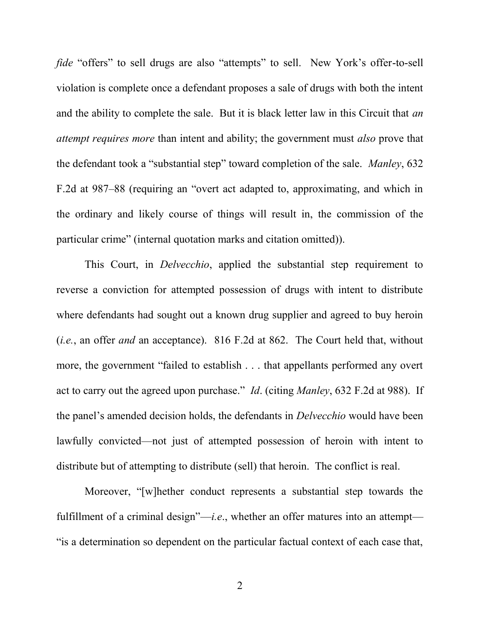*fide* "offers" to sell drugs are also "attempts" to sell. New York's offer-to-sell violation is complete once a defendant proposes a sale of drugs with both the intent and the ability to complete the sale. But it is black letter law in this Circuit that *an attempt requires more* than intent and ability; the government must *also* prove that the defendant took a "substantial step" toward completion of the sale. *Manley*, 632 F.2d at 987–88 (requiring an "overt act adapted to, approximating, and which in the ordinary and likely course of things will result in, the commission of the particular crime" (internal quotation marks and citation omitted)).

This Court, in *Delvecchio*, applied the substantial step requirement to reverse a conviction for attempted possession of drugs with intent to distribute where defendants had sought out a known drug supplier and agreed to buy heroin (*i.e.*, an offer *and* an acceptance). 816 F.2d at 862. The Court held that, without more, the government "failed to establish . . . that appellants performed any overt act to carry out the agreed upon purchase." *Id*. (citing *Manley*, 632 F.2d at 988). If the panel's amended decision holds, the defendants in *Delvecchio* would have been lawfully convicted—not just of attempted possession of heroin with intent to distribute but of attempting to distribute (sell) that heroin. The conflict is real.

Moreover, "[w]hether conduct represents a substantial step towards the fulfillment of a criminal design"—*i.e*., whether an offer matures into an attempt— "is a determination so dependent on the particular factual context of each case that,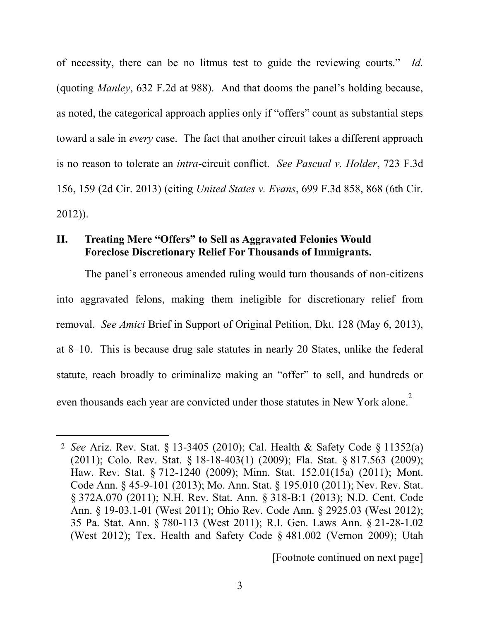of necessity, there can be no litmus test to guide the reviewing courts." *Id.* (quoting *Manley*, 632 F.2d at 988). And that dooms the panel's holding because, as noted, the categorical approach applies only if "offers" count as substantial steps toward a sale in *every* case. The fact that another circuit takes a different approach is no reason to tolerate an *intra*-circuit conflict. *See Pascual v. Holder*, 723 F.3d 156, 159 (2d Cir. 2013) (citing *United States v. Evans*, 699 F.3d 858, 868 (6th Cir. 2012)).

## <span id="page-8-0"></span>**II. Treating Mere "Offers" to Sell as Aggravated Felonies Would Foreclose Discretionary Relief For Thousands of Immigrants.**

 $\overline{a}$ 

The panel's erroneous amended ruling would turn thousands of non-citizens into aggravated felons, making them ineligible for discretionary relief from removal. *See Amici* Brief in Support of Original Petition, Dkt. 128 (May 6, 2013), at 8–10. This is because drug sale statutes in nearly 20 States, unlike the federal statute, reach broadly to criminalize making an "offer" to sell, and hundreds or even thousands each year are convicted under those statutes in New York alone.<sup>2</sup>

[Footnote continued on next page]

<sup>2</sup> *See* Ariz. Rev. Stat. § 13-3405 (2010); Cal. Health & Safety Code § 11352(a) (2011); Colo. Rev. Stat. § 18-18-403(1) (2009); Fla. Stat. § 817.563 (2009); Haw. Rev. Stat. § 712-1240 (2009); Minn. Stat. 152.01(15a) (2011); Mont. Code Ann. § 45-9-101 (2013); Mo. Ann. Stat. § 195.010 (2011); Nev. Rev. Stat. § 372A.070 (2011); N.H. Rev. Stat. Ann. § 318-B:1 (2013); N.D. Cent. Code Ann. § 19-03.1-01 (West 2011); Ohio Rev. Code Ann. § 2925.03 (West 2012); 35 Pa. Stat. Ann. § 780-113 (West 2011); R.I. Gen. Laws Ann. § 21-28-1.02 (West 2012); Tex. Health and Safety Code § 481.002 (Vernon 2009); Utah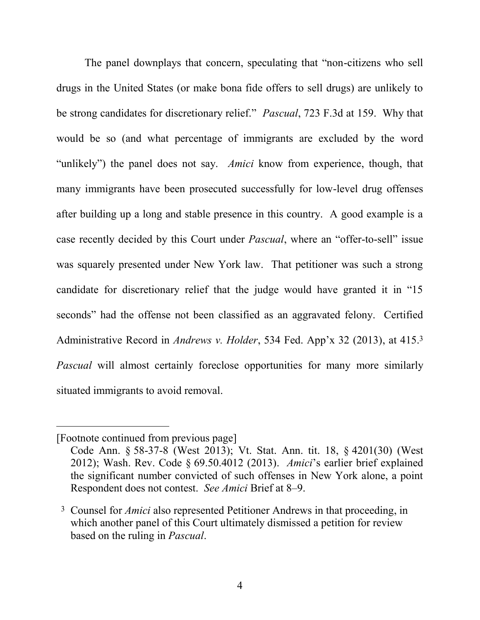The panel downplays that concern, speculating that "non-citizens who sell drugs in the United States (or make bona fide offers to sell drugs) are unlikely to be strong candidates for discretionary relief." *Pascual*, 723 F.3d at 159. Why that would be so (and what percentage of immigrants are excluded by the word "unlikely") the panel does not say. *Amici* know from experience, though, that many immigrants have been prosecuted successfully for low-level drug offenses after building up a long and stable presence in this country. A good example is a case recently decided by this Court under *Pascual*, where an "offer-to-sell" issue was squarely presented under New York law. That petitioner was such a strong candidate for discretionary relief that the judge would have granted it in "15 seconds" had the offense not been classified as an aggravated felony. Certified Administrative Record in *Andrews v. Holder*, 534 Fed. App'x 32 (2013), at 415.3 *Pascual* will almost certainly foreclose opportunities for many more similarly situated immigrants to avoid removal.

 $\overline{a}$ 

<sup>[</sup>Footnote continued from previous page]

Code Ann. § 58-37-8 (West 2013); Vt. Stat. Ann. tit. 18, § 4201(30) (West 2012); Wash. Rev. Code § 69.50.4012 (2013). *Amici*'s earlier brief explained the significant number convicted of such offenses in New York alone, a point Respondent does not contest. *See Amici* Brief at 8–9.

<sup>3</sup> Counsel for *Amici* also represented Petitioner Andrews in that proceeding, in which another panel of this Court ultimately dismissed a petition for review based on the ruling in *Pascual*.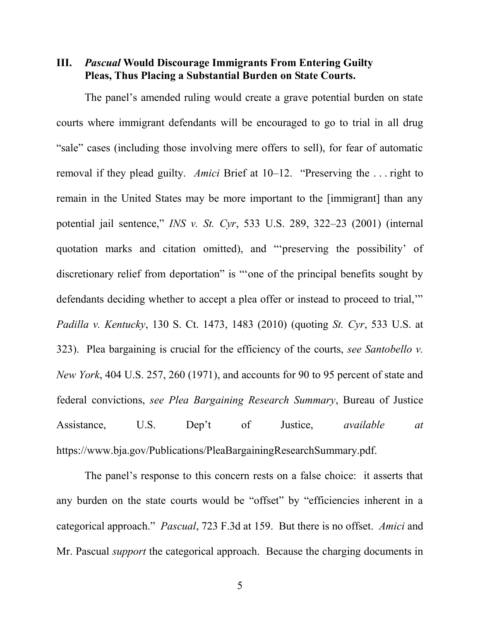#### <span id="page-10-0"></span>**III.** *Pascual* **Would Discourage Immigrants From Entering Guilty Pleas, Thus Placing a Substantial Burden on State Courts.**

The panel's amended ruling would create a grave potential burden on state courts where immigrant defendants will be encouraged to go to trial in all drug "sale" cases (including those involving mere offers to sell), for fear of automatic removal if they plead guilty. *Amici* Brief at 10–12. "Preserving the . . . right to remain in the United States may be more important to the [immigrant] than any potential jail sentence," *INS v. St. Cyr*, 533 U.S. 289, 322–23 (2001) (internal quotation marks and citation omitted), and "'preserving the possibility' of discretionary relief from deportation" is "'one of the principal benefits sought by defendants deciding whether to accept a plea offer or instead to proceed to trial,'" *Padilla v. Kentucky*, 130 S. Ct. 1473, 1483 (2010) (quoting *St. Cyr*, 533 U.S. at 323). Plea bargaining is crucial for the efficiency of the courts, *see Santobello v. New York*, 404 U.S. 257, 260 (1971), and accounts for 90 to 95 percent of state and federal convictions, *see Plea Bargaining Research Summary*, Bureau of Justice Assistance, U.S. Dep't of Justice, *available at* https://www.bja.gov/Publications/PleaBargainingResearchSummary.pdf.

The panel's response to this concern rests on a false choice: it asserts that any burden on the state courts would be "offset" by "efficiencies inherent in a categorical approach." *Pascual*, 723 F.3d at 159. But there is no offset. *Amici* and Mr. Pascual *support* the categorical approach. Because the charging documents in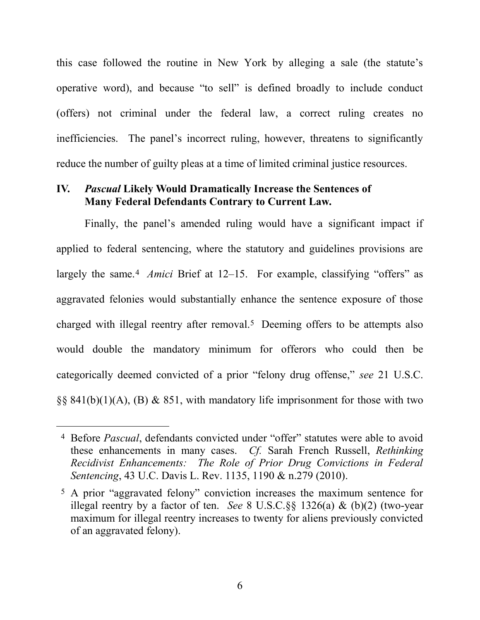this case followed the routine in New York by alleging a sale (the statute's operative word), and because "to sell" is defined broadly to include conduct (offers) not criminal under the federal law, a correct ruling creates no inefficiencies. The panel's incorrect ruling, however, threatens to significantly reduce the number of guilty pleas at a time of limited criminal justice resources.

#### <span id="page-11-0"></span>**IV.** *Pascual* **Likely Would Dramatically Increase the Sentences of Many Federal Defendants Contrary to Current Law.**

Finally, the panel's amended ruling would have a significant impact if applied to federal sentencing, where the statutory and guidelines provisions are largely the same.<sup>4</sup> *Amici* Brief at 12–15. For example, classifying "offers" as aggravated felonies would substantially enhance the sentence exposure of those charged with illegal reentry after removal.5 Deeming offers to be attempts also would double the mandatory minimum for offerors who could then be categorically deemed convicted of a prior "felony drug offense," *see* 21 U.S.C. §§ 841(b)(1)(A), (B) & 851, with mandatory life imprisonment for those with two

 $\overline{a}$ 

<sup>4</sup> Before *Pascual*, defendants convicted under "offer" statutes were able to avoid these enhancements in many cases. *Cf.* Sarah French Russell, *Rethinking Recidivist Enhancements: The Role of Prior Drug Convictions in Federal Sentencing*, 43 U.C. Davis L. Rev. 1135, 1190 & n.279 (2010).

<sup>5</sup> A prior "aggravated felony" conviction increases the maximum sentence for illegal reentry by a factor of ten. *See* 8 U.S.C.§§ 1326(a) & (b)(2) (two-year maximum for illegal reentry increases to twenty for aliens previously convicted of an aggravated felony).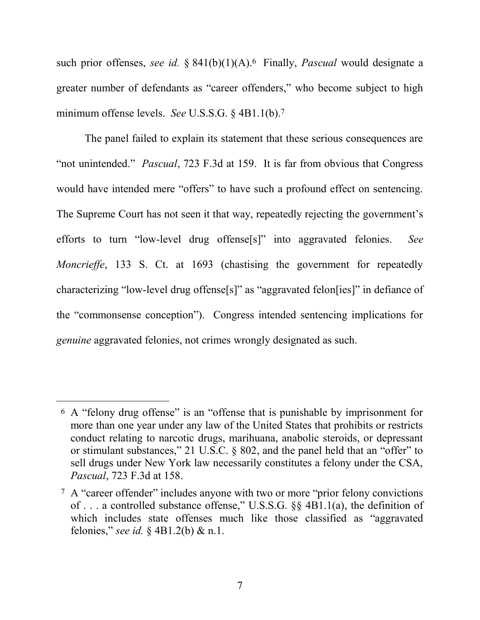such prior offenses, *see id.* § 841(b)(1)(A).6 Finally, *Pascual* would designate a greater number of defendants as "career offenders," who become subject to high minimum offense levels. *See* U.S.S.G. § 4B1.1(b). 7

The panel failed to explain its statement that these serious consequences are "not unintended." *Pascual*, 723 F.3d at 159. It is far from obvious that Congress would have intended mere "offers" to have such a profound effect on sentencing. The Supreme Court has not seen it that way, repeatedly rejecting the government's efforts to turn "low-level drug offense[s]" into aggravated felonies. *See Moncrieffe*, 133 S. Ct. at 1693 (chastising the government for repeatedly characterizing "low-level drug offense[s]" as "aggravated felon[ies]" in defiance of the "commonsense conception"). Congress intended sentencing implications for *genuine* aggravated felonies, not crimes wrongly designated as such.

l

<sup>6</sup> A "felony drug offense" is an "offense that is punishable by imprisonment for more than one year under any law of the United States that prohibits or restricts conduct relating to narcotic drugs, marihuana, anabolic steroids, or depressant or stimulant substances," 21 U.S.C. § 802, and the panel held that an "offer" to sell drugs under New York law necessarily constitutes a felony under the CSA, *Pascual*, 723 F.3d at 158.

<sup>7</sup> A "career offender" includes anyone with two or more "prior felony convictions of . . . a controlled substance offense," U.S.S.G. §§ 4B1.1(a), the definition of which includes state offenses much like those classified as "aggravated felonies," *see id.* § 4B1.2(b) & n.1.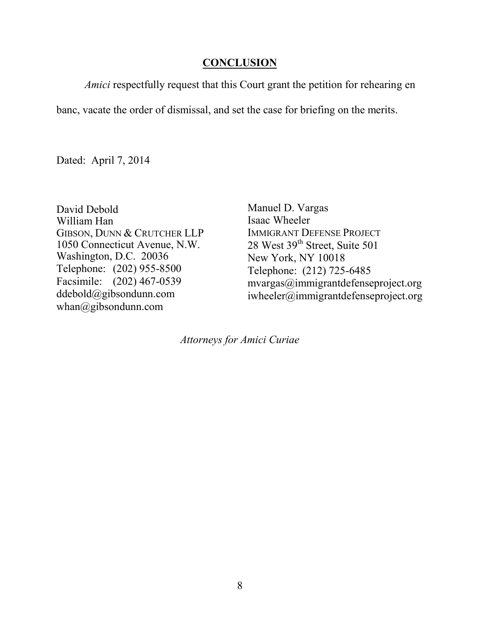#### **CONCLUSION**

<span id="page-13-0"></span>*Amici* respectfully request that this Court grant the petition for rehearing en

banc, vacate the order of dismissal, and set the case for briefing on the merits.

Dated: April 7, 2014

David Debold William Han GIBSON, DUNN & CRUTCHER LLP 1050 Connecticut Avenue, N.W. Washington, D.C. 20036 Telephone: (202) 955-8500 Facsimile: (202) 467-0539 ddebold@gibsondunn.com whan@gibsondunn.com

Manuel D. Vargas Isaac Wheeler IMMIGRANT DEFENSE PROJECT 28 West 39<sup>th</sup> Street, Suite 501 New York, NY 10018 Telephone: (212) 725-6485 mvargas@immigrantdefenseproject.org iwheeler@immigrantdefenseproject.org

*Attorneys for Amici Curiae*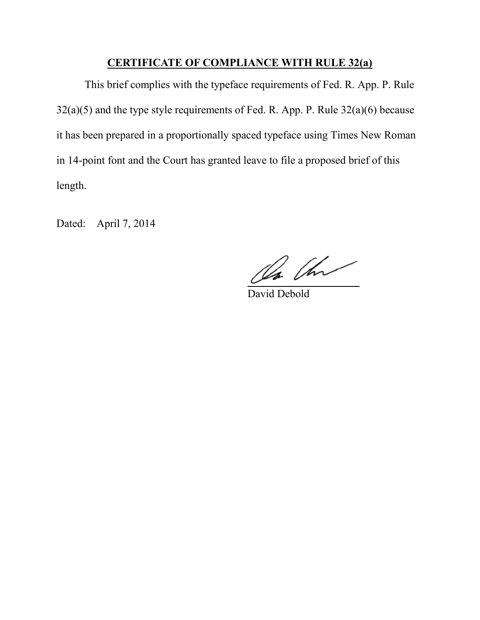#### **CERTIFICATE OF COMPLIANCE WITH RULE 32(a)**

<span id="page-14-0"></span>This brief complies with the typeface requirements of Fed. R. App. P. Rule 32(a)(5) and the type style requirements of Fed. R. App. P. Rule 32(a)(6) because it has been prepared in a proportionally spaced typeface using Times New Roman in 14-point font and the Court has granted leave to file a proposed brief of this length.

Dated: April 7, 2014

On the

David Debold